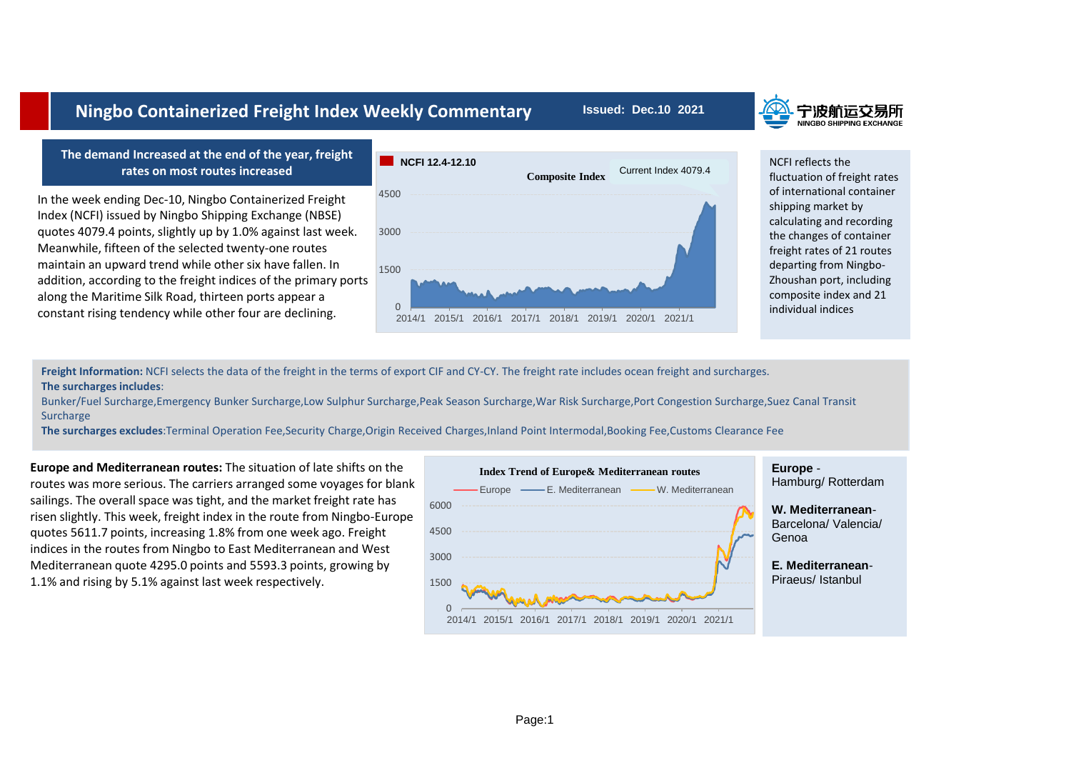## quotes 4079.4 points, slightly up by 1.0% against last week. 3000

**Ningbo Containerized Freight Index Weekly Commentary**

Meanwhile, fifteen of the selected twenty-one routes maintain an upward trend while other six have fallen. In addition, according to the freight indices of the primary ports along the Maritime Silk Road, thirteen ports appear a constant rising tendency while other four are declining.

In the week ending Dec-10, Ningbo Containerized Freight Index (NCFI) issued by Ningbo Shipping Exchange (NBSE)

**The demand Increased at the end of the year, freight rates on most routes increased**





NCFI reflects the

## fluctuation of freight rates of international container shipping market by calculating and recording the changes of container freight rates of 21 routes departing from Ningbo-Zhoushan port, including composite index and 21

**Freight Information:** NCFI selects the data of the freight in the terms of export CIF and CY-CY. The freight rate includes ocean freight and surcharges. **The surcharges includes**:

Bunker/Fuel Surcharge,Emergency Bunker Surcharge,Low Sulphur Surcharge,Peak Season Surcharge,War Risk Surcharge,Port Congestion Surcharge,Suez Canal Transit **Surcharge** 

**The surcharges excludes**:Terminal Operation Fee,Security Charge,Origin Received Charges,Inland Point Intermodal,Booking Fee,Customs Clearance Fee

**Europe and Mediterranean routes:** The situation of late shifts on the routes was more serious. The carriers arranged some voyages for blank sailings. The overall space was tight, and the market freight rate has risen slightly. This week, freight index in the route from Ningbo-Europe quotes 5611.7 points, increasing 1.8% from one week ago. Freight indices in the routes from Ningbo to East Mediterranean and West Mediterranean quote 4295.0 points and 5593.3 points, growing by 1.1% and rising by 5.1% against last week respectively.



**Issued: Dec.10 2021**